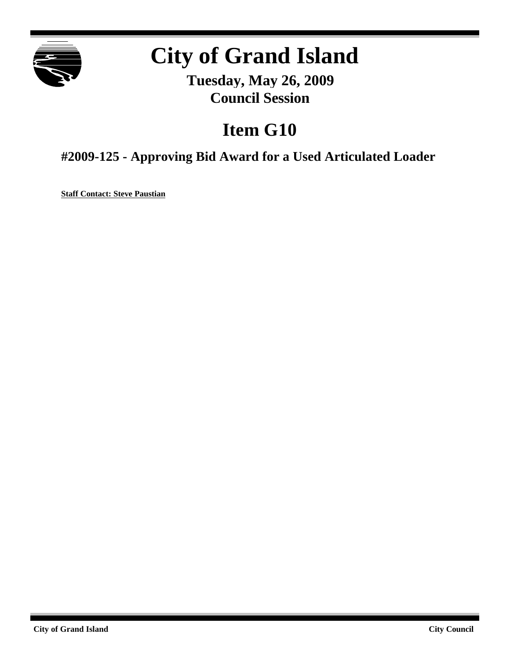

# **City of Grand Island**

**Tuesday, May 26, 2009 Council Session**

## **Item G10**

**#2009-125 - Approving Bid Award for a Used Articulated Loader**

**Staff Contact: Steve Paustian**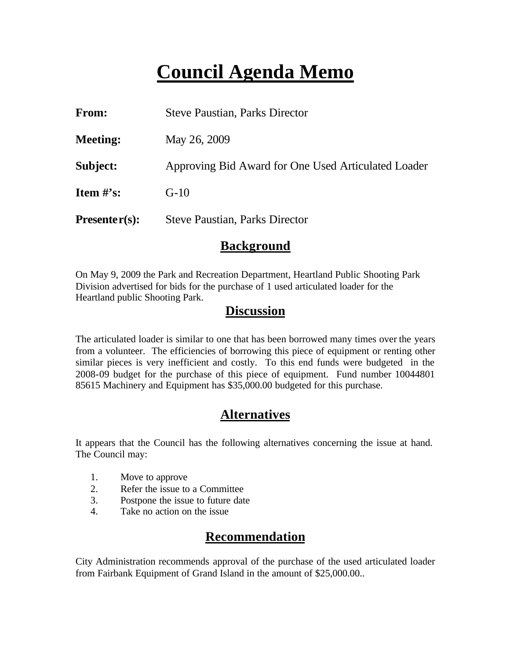## **Council Agenda Memo**

| <b>From:</b>                   | <b>Steve Paustian, Parks Director</b>               |
|--------------------------------|-----------------------------------------------------|
| <b>Meeting:</b>                | May 26, 2009                                        |
| Subject:                       | Approving Bid Award for One Used Articulated Loader |
| <b>Item <math>\#</math>'s:</b> | $G-10$                                              |
| $Presenter(s):$                | <b>Steve Paustian, Parks Director</b>               |

#### **Background**

On May 9, 2009 the Park and Recreation Department, Heartland Public Shooting Park Division advertised for bids for the purchase of 1 used articulated loader for the Heartland public Shooting Park.

#### **Discussion**

The articulated loader is similar to one that has been borrowed many times over the years from a volunteer. The efficiencies of borrowing this piece of equipment or renting other similar pieces is very inefficient and costly. To this end funds were budgeted in the 2008-09 budget for the purchase of this piece of equipment. Fund number 10044801 85615 Machinery and Equipment has \$35,000.00 budgeted for this purchase.

### **Alternatives**

It appears that the Council has the following alternatives concerning the issue at hand. The Council may:

- 1. Move to approve
- 2. Refer the issue to a Committee
- 3. Postpone the issue to future date
- 4. Take no action on the issue

### **Recommendation**

City Administration recommends approval of the purchase of the used articulated loader from Fairbank Equipment of Grand Island in the amount of \$25,000.00..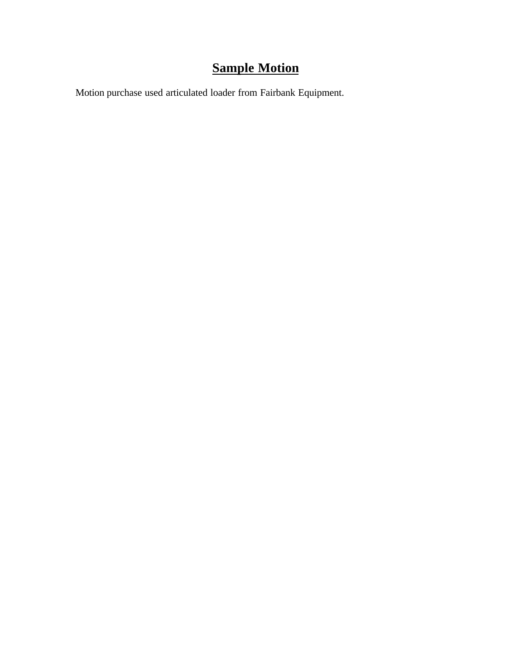## **Sample Motion**

Motion purchase used articulated loader from Fairbank Equipment.